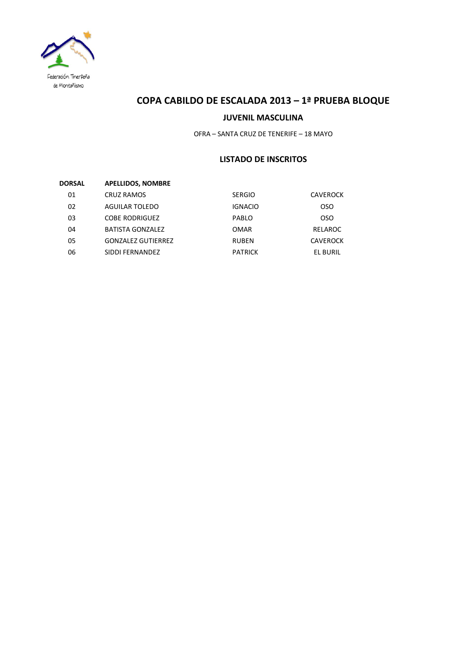

# **COPA CABILDO DE ESCALADA 2013 – 1ª PRUEBA BLOQUE**

### **JUVENIL MASCULINA**

OFRA – SANTA CRUZ DE TENERIFE – 18 MAYO

## **LISTADO DE INSCRITOS**

| DORSAL | <b>APELLIDOS, NOMBRE</b>  |                |                 |
|--------|---------------------------|----------------|-----------------|
| 01     | <b>CRUZ RAMOS</b>         | <b>SERGIO</b>  | <b>CAVEROCK</b> |
| 02     | AGUILAR TOLEDO            | <b>IGNACIO</b> | oso             |
| 03     | <b>COBE RODRIGUEZ</b>     | PABLO          | <b>OSO</b>      |
| 04     | <b>BATISTA GONZALEZ</b>   | <b>OMAR</b>    | RELAROC         |
| 05     | <b>GONZALEZ GUTIERREZ</b> | <b>RUBEN</b>   | <b>CAVEROCK</b> |
| 06     | SIDDI FERNANDEZ           | <b>PATRICK</b> | EL BURIL        |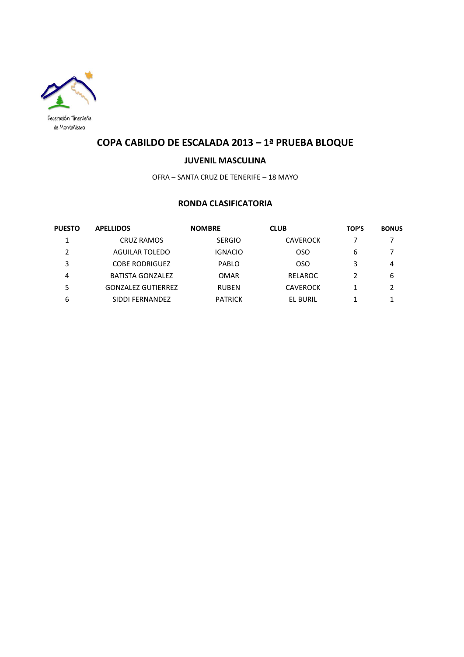

# **COPA CABILDO DE ESCALADA 2013 – 1ª PRUEBA BLOQUE**

#### **JUVENIL MASCULINA**

OFRA – SANTA CRUZ DE TENERIFE – 18 MAYO

## **RONDA CLASIFICATORIA**

| <b>PUESTO</b> | <b>APELLIDOS</b>          | <b>NOMBRE</b>  | <b>CLUB</b>     | <b>TOP'S</b> | <b>BONUS</b> |
|---------------|---------------------------|----------------|-----------------|--------------|--------------|
| 1             | <b>CRUZ RAMOS</b>         | <b>SERGIO</b>  | <b>CAVEROCK</b> |              |              |
| 2             | AGUILAR TOLEDO            | IGNACIO        | OSO             | 6            | 7            |
| 3             | <b>COBE RODRIGUEZ</b>     | PABLO          | OSO.            | 3            | 4            |
| 4             | <b>BATISTA GONZALEZ</b>   | <b>OMAR</b>    | RELAROC         |              | 6            |
| 5             | <b>GONZALEZ GUTIERREZ</b> | <b>RUBEN</b>   | <b>CAVEROCK</b> |              | 2            |
| 6             | SIDDI FERNANDEZ           | <b>PATRICK</b> | EL BURIL        |              |              |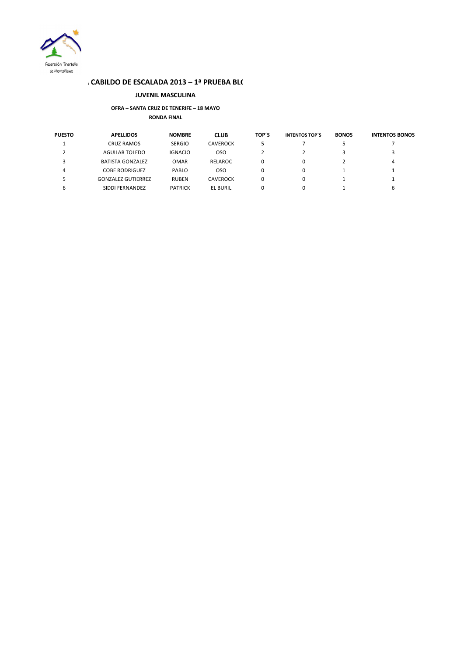

#### **CABILDO DE ESCALADA 2013 – 1ª PRUEBA BLO**

#### **JUVENIL MASCULINA**

#### **OFRA – SANTA CRUZ DE TENERIFE – 18 MAYO RONDA FINAL**

| <b>PUESTO</b> | <b>APELLIDOS</b>          | <b>NOMBRE</b>  | <b>CLUB</b>     | TOP'S | <b>INTENTOS TOP'S</b> | <b>BONOS</b> | <b>INTENTOS BONOS</b> |
|---------------|---------------------------|----------------|-----------------|-------|-----------------------|--------------|-----------------------|
|               | <b>CRUZ RAMOS</b>         | <b>SERGIO</b>  | <b>CAVEROCK</b> |       |                       |              |                       |
|               | AGUILAR TOLEDO            | <b>IGNACIO</b> | oso             |       |                       |              |                       |
|               | <b>BATISTA GONZALEZ</b>   | <b>OMAR</b>    | RELAROC         | 0     | 0                     |              | 4                     |
|               | COBE RODRIGUEZ            | PABLO          | <b>OSO</b>      | 0     | 0                     |              |                       |
|               | <b>GONZALEZ GUTIERREZ</b> | <b>RUBEN</b>   | <b>CAVEROCK</b> |       |                       |              |                       |
| b             | SIDDI FERNANDEZ           | <b>PATRICK</b> | <b>EL BURIL</b> | 0     | 0                     |              | ь                     |